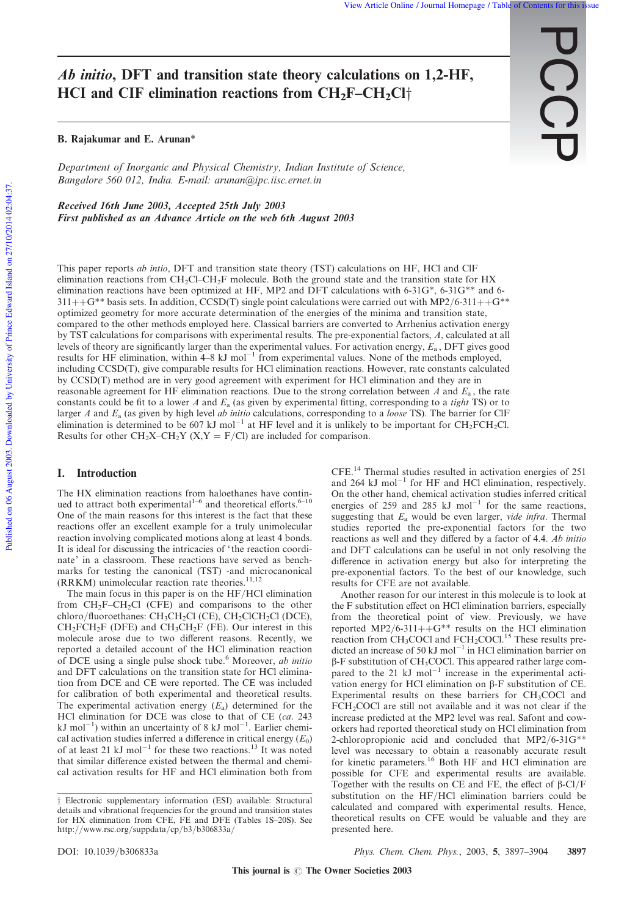$\rm \tilde{S}$ 

# Ab initio, DFT and transition state theory calculations on 1,2-HF, HCI and CIF elimination reactions from  $CH_2F-CH_2Cl_1^+$

### B. Rajakumar and E. Arunan\*

*Department of Inorganic and Physical Chemistry, Indian Institute of Science, Bangalore 560 012, India. E-mail: arunan@ipc.iisc.ernet.in*

Received 16th June 2003, Accepted 25th July 2003 First published as an Advance Article on the web 6th August 2003

This paper reports *ab intio*, DFT and transition state theory (TST) calculations on HF, HCl and ClF elimination reactions from  $CH_2Cl-CH_2F$  molecule. Both the ground state and the transition state for HX elimination reactions have been optimized at HF, MP2 and DFT calculations with  $6-31G^*$ ,  $6-31G^{**}$  and  $6 311++G^{**}$  basis sets. In addition, CCSD(T) single point calculations were carried out with MP2/6-311++G<sup>\*\*</sup> optimized geometry for more accurate determination of the energies of the minima and transition state, compared to the other methods employed here. Classical barriers are converted to Arrhenius activation energy by TST calculations for comparisons with experimental results. The pre-exponential factors, *A*, calculated at all levels of theory are significantly larger than the experimental values. For activation energy,  $E_a$ , DFT gives good results for HF elimination, within  $4-8$  kJ mol<sup>-1</sup> from experimental values. None of the methods employed, including CCSD(T), give comparable results for HCl elimination reactions. However, rate constants calculated by CCSD(T) method are in very good agreement with experiment for HCl elimination and they are in reasonable agreement for HF elimination reactions. Due to the strong correlation between *A* and  $E_a$ , the rate constants could be fit to a lower *A* and *E*<sup>a</sup> (as given by experimental fitting, corresponding to a *tight* TS) or to larger *A* and *E*<sup>a</sup> (as given by high level *ab initio* calculations, corresponding to a *loose* TS). The barrier for ClF elimination is determined to be 607 kJ mol<sup>-1</sup> at HF level and it is unlikely to be important for  $CH_2FCH_2Cl$ . Results for other  $CH_2X-CH_2Y$  (X,Y = F/Cl) are included for comparison.

#### I. Introduction

The HX elimination reactions from haloethanes have continued to attract both experimental<sup>1-6</sup> and theoretical efforts.<sup>6-10</sup> One of the main reasons for this interest is the fact that these reactions offer an excellent example for a truly unimolecular reaction involving complicated motions along at least 4 bonds. It is ideal for discussing the intricacies of ' the reaction coordinate' in a classroom. These reactions have served as benchmarks for testing the canonical (TST) -and microcanonical  $(RRKM)$  unimolecular reaction rate theories.<sup>11,12</sup>

The main focus in this paper is on the HF/HCl elimination from  $CH_2F-CH_2Cl$  (CFE) and comparisons to the other chloro/fluoroethanes:  $CH_3CH_2Cl$  (CE),  $CH_2ClCH_2Cl$  (DCE),  $CH_2FCH_2F$  (DFE) and  $CH_3CH_2F$  (FE). Our interest in this molecule arose due to two different reasons. Recently, we reported a detailed account of the HCl elimination reaction of DCE using a single pulse shock tube.<sup>6</sup> Moreover, *ab initio* and DFT calculations on the transition state for HCl elimination from DCE and CE were reported. The CE was included for calibration of both experimental and theoretical results. The experimental activation energy (*E*<sup>a</sup> ) determined for the HCl elimination for DCE was close to that of CE (*ca*. 243 kJ mol<sup>-1</sup>) within an uncertainty of 8 kJ mol<sup>-1</sup>. Earlier chemical activation studies inferred a difference in critical energy  $(E_0)$ of at least 21 kJ mol<sup>-1</sup> for these two reactions.<sup>13</sup> It was noted that similar difference existed between the thermal and chemical activation results for HF and HCl elimination both from

CFE.<sup>14</sup> Thermal studies resulted in activation energies of 251 and  $264 \text{ kJ mol}^{-1}$  for HF and HCl elimination, respectively. On the other hand, chemical activation studies inferred critical energies of 259 and 285  $kJ$  mol<sup>-1</sup> for the same reactions, suggesting that *E*<sup>a</sup> would be even larger, *vide infra*. Thermal studies reported the pre-exponential factors for the two reactions as well and they differed by a factor of 4.4. *Ab initio* and DFT calculations can be useful in not only resolving the difference in activation energy but also for interpreting the pre-exponential factors. To the best of our knowledge, such results for CFE are not available.

Another reason for our interest in this molecule is to look at the F substitution effect on HCl elimination barriers, especially from the theoretical point of view. Previously, we have reported MP2/6-311++ $G^{**}$  results on the HCl elimination reaction from CH<sub>3</sub>COCl and FCH<sub>2</sub>COCl.<sup>15</sup> These results predicted an increase of 50 kJ mol<sup>-1</sup> in HCl elimination barrier on  $\beta$ -F substitution of CH<sub>3</sub>COCl. This appeared rather large compared to the 21  $kJ$  mol<sup>-1</sup> increase in the experimental activation energy for HCl elimination on  $\beta$ -F substitution of CE. Experimental results on these barriers for  $CH<sub>3</sub>COCl$  and FCH<sub>2</sub>COCl are still not available and it was not clear if the increase predicted at the MP2 level was real. Safont and coworkers had reported theoretical study on HCl elimination from 2-chloropropionic acid and concluded that MP2/6-31G\*\* level was necessary to obtain a reasonably accurate result for kinetic parameters.<sup>16</sup> Both HF and HCl elimination are possible for CFE and experimental results are available. Together with the results on CE and FE, the effect of  $\beta$ -Cl/F substitution on the HF/HCl elimination barriers could be calculated and compared with experimental results. Hence, theoretical results on CFE would be valuable and they are presented here.

 $\dagger$  Electronic supplementary information (ESI) available: Structural details and vibrational frequencies for the ground and transition states for HX elimination from CFE, FE and DFE (Tables 1S–20S). See http://www.rsc.org/suppdata/cp/b3/b306833a/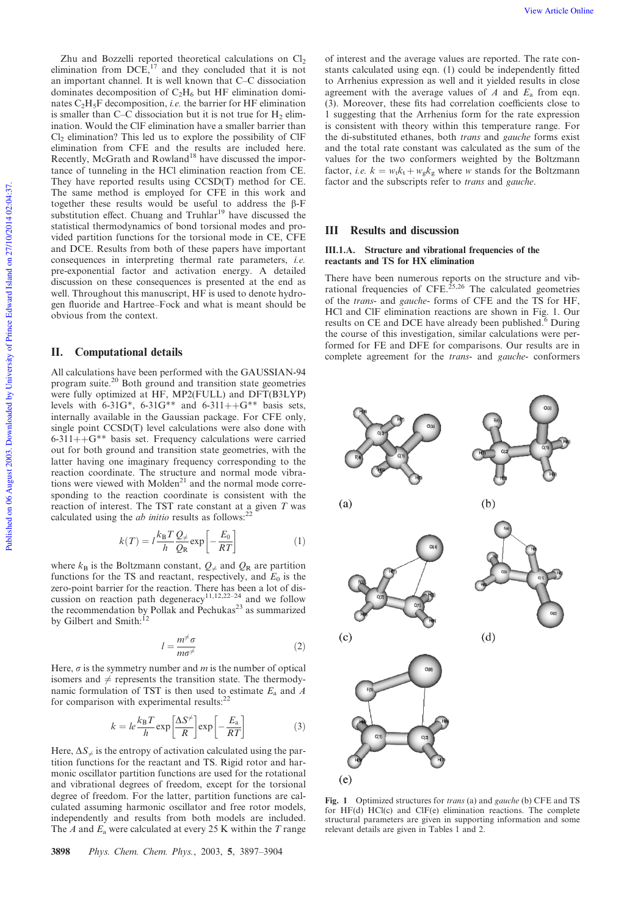Zhu and Bozzelli reported theoretical calculations on  $Cl<sub>2</sub>$ elimination from  $DCE$ ,<sup>17</sup> and they concluded that it is not an important channel. It is well known that C–C dissociation dominates decomposition of  $C_2H_6$  but HF elimination dominates  $C_2H_5F$  decomposition, *i.e.* the barrier for HF elimination is smaller than C–C dissociation but it is not true for  $H_2$  elimination. Would the ClF elimination have a smaller barrier than  $Cl<sub>2</sub>$  elimination? This led us to explore the possibility of ClF elimination from CFE and the results are included here. Recently, McGrath and Rowland<sup>18</sup> have discussed the importance of tunneling in the HCl elimination reaction from CE. They have reported results using CCSD(T) method for CE. The same method is employed for CFE in this work and together these results would be useful to address the  $\beta$ -F substitution effect. Chuang and Truhlar<sup>19</sup> have discussed the statistical thermodynamics of bond torsional modes and provided partition functions for the torsional mode in CE, CFE and DCE. Results from both of these papers have important consequences in interpreting thermal rate parameters, *i.e.* pre-exponential factor and activation energy. A detailed discussion on these consequences is presented at the end as well. Throughout this manuscript, HF is used to denote hydrogen fluoride and Hartree–Fock and what is meant should be obvious from the context.

## II. Computational details

All calculations have been performed with the GAUSSIAN-94 program suite.<sup>20</sup> Both ground and transition state geometries were fully optimized at HF, MP2(FULL) and DFT(B3LYP) levels with 6-31G\*, 6-31G\*\* and 6-311++G\*\* basis sets, internally available in the Gaussian package. For CFE only, single point CCSD(T) level calculations were also done with  $6-311++G^{**}$  basis set. Frequency calculations were carried out for both ground and transition state geometries, with the latter having one imaginary frequency corresponding to the reaction coordinate. The structure and normal mode vibrations were viewed with Molden<sup>21</sup> and the normal mode corresponding to the reaction coordinate is consistent with the reaction of interest. The TST rate constant at a given *T* was calculated using the  $ab$  initio results as follows:<sup>22</sup>

$$
k(T) = l \frac{k_{\rm B} T}{h} \frac{Q_{\neq}}{Q_{\rm R}} \exp\left[-\frac{E_0}{RT}\right]
$$
 (1)

where  $k_B$  is the Boltzmann constant,  $Q_{\neq}$  and  $Q_R$  are partition functions for the TS and reactant, respectively, and  $E_0$  is the zero-point barrier for the reaction. There has been a lot of discussion on reaction path degeneracy<sup>11,12,22–24</sup> and we follow the recommendation by Pollak and Pechukas<sup>23</sup> as summarized by Gilbert and Smith:<sup>12</sup>

$$
l = \frac{m^{\neq} \sigma}{m \sigma^{\neq}} \tag{2}
$$

Here,  $\sigma$  is the symmetry number and  $m$  is the number of optical isomers and  $\neq$  represents the transition state. The thermodynamic formulation of TST is then used to estimate *E*<sup>a</sup> and *A* for comparison with experimental results:<sup>22</sup>

$$
k = le^{\frac{k_B T}{h}} \exp\left[\frac{\Delta S^{\neq}}{R}\right] \exp\left[-\frac{E_a}{RT}\right] \tag{3}
$$

Here,  $\Delta S_{\neq}$  is the entropy of activation calculated using the partition functions for the reactant and TS. Rigid rotor and harmonic oscillator partition functions are used for the rotational and vibrational degrees of freedom, except for the torsional degree of freedom. For the latter, partition functions are calculated assuming harmonic oscillator and free rotor models, independently and results from both models are included. The *A* and *E*<sup>a</sup> were calculated at every 25 K within the *T* range of interest and the average values are reported. The rate constants calculated using eqn. (1) could be independently fitted to Arrhenius expression as well and it yielded results in close agreement with the average values of *A* and *E*<sup>a</sup> from eqn. (3). Moreover, these fits had correlation coefficients close to 1 suggesting that the Arrhenius form for the rate expression is consistent with theory within this temperature range. For the di-substituted ethanes, both *trans* and *gauche* forms exist and the total rate constant was calculated as the sum of the values for the two conformers weighted by the Boltzmann factor, *i.e.*  $k = w_t k_t + w_g k_g$  where *w* stands for the Boltzmann factor and the subscripts refer to *trans* and *gauche*.

# III Results and discussion

## III.1.A. Structure and vibrational frequencies of the reactants and TS for HX elimination

There have been numerous reports on the structure and vibrational frequencies of CFE.<sup>25,26</sup> The calculated geometries of the *trans*- and *gauche*- forms of CFE and the TS for HF, HCl and ClF elimination reactions are shown in Fig. 1. Our results on CE and DCE have already been published.<sup>6</sup> During the course of this investigation, similar calculations were performed for FE and DFE for comparisons. Our results are in complete agreement for the *trans*- and *gauche*- conformers



Fig. 1 Optimized structures for *trans* (a) and *gauche* (b) CFE and TS for HF(d) HCl(c) and ClF(e) elimination reactions. The complete structural parameters are given in supporting information and some relevant details are given in Tables 1 and 2.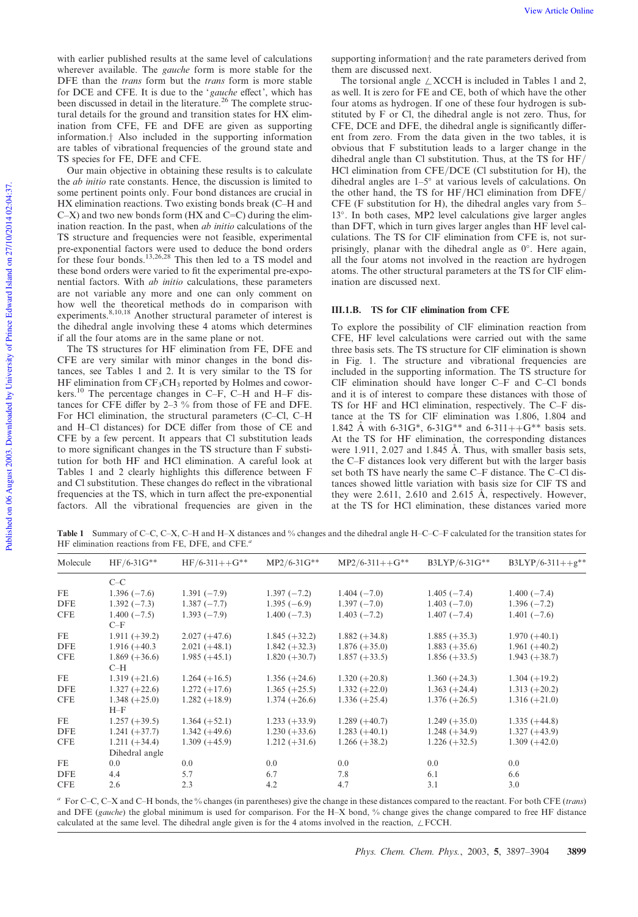with earlier published results at the same level of calculations wherever available. The *gauche* form is more stable for the DFE than the *trans* form but the *trans* form is more stable for DCE and CFE. It is due to the '*gauche* effect', which has been discussed in detail in the literature.<sup>26</sup> The complete structural details for the ground and transition states for HX elimination from CFE, FE and DFE are given as supporting information.<sup>†</sup> Also included in the supporting information are tables of vibrational frequencies of the ground state and TS species for FE, DFE and CFE.

Our main objective in obtaining these results is to calculate the *ab initio* rate constants. Hence, the discussion is limited to some pertinent points only. Four bond distances are crucial in HX elimination reactions. Two existing bonds break (C–H and  $C-X$ ) and two new bonds form (HX and  $C=C$ ) during the elimination reaction. In the past, when *ab initio* calculations of the TS structure and frequencies were not feasible, experimental pre-exponential factors were used to deduce the bond orders for these four bonds.<sup>13,26,28</sup> This then led to a TS model and these bond orders were varied to fit the experimental pre-exponential factors. With *ab initio* calculations, these parameters are not variable any more and one can only comment on how well the theoretical methods do in comparison with experiments.<sup>8,10,18</sup> Another structural parameter of interest is the dihedral angle involving these 4 atoms which determines if all the four atoms are in the same plane or not.

The TS structures for HF elimination from FE, DFE and CFE are very similar with minor changes in the bond distances, see Tables 1 and 2. It is very similar to the TS for HF elimination from  $CF_3CH_3$  reported by Holmes and coworkers.<sup>10</sup> The percentage changes in C–F, C–H and H–F distances for CFE differ by  $2-3$ % from those of FE and DFE. For HCl elimination, the structural parameters (C–Cl, C–H and H–Cl distances) for DCE differ from those of CE and CFE by a few percent. It appears that Cl substitution leads to more significant changes in the TS structure than F substitution for both HF and HCl elimination. A careful look at Tables 1 and 2 clearly highlights this difference between F and Cl substitution. These changes do reflect in the vibrational frequencies at the TS, which in turn affect the pre-exponential factors. All the vibrational frequencies are given in the supporting information<sup>†</sup> and the rate parameters derived from them are discussed next.

The torsional angle  $\angle$  XCCH is included in Tables 1 and 2, as well. It is zero for FE and CE, both of which have the other four atoms as hydrogen. If one of these four hydrogen is substituted by F or Cl, the dihedral angle is not zero. Thus, for CFE, DCE and DFE, the dihedral angle is significantly different from zero. From the data given in the two tables, it is obvious that F substitution leads to a larger change in the dihedral angle than Cl substitution. Thus, at the TS for  $HF$ HCl elimination from CFE/DCE (Cl substitution for H), the dihedral angles are  $1-5^\circ$  at various levels of calculations. On the other hand, the TS for HF/HCl elimination from DFE/ CFE (F substitution for H), the dihedral angles vary from 5– 13°. In both cases, MP2 level calculations give larger angles than DFT, which in turn gives larger angles than HF level calculations. The TS for ClF elimination from CFE is, not surprisingly, planar with the dihedral angle as  $0^\circ$ . Here again, all the four atoms not involved in the reaction are hydrogen atoms. The other structural parameters at the TS for ClF elimination are discussed next.

## III.1.B. TS for CIF elimination from CFE

To explore the possibility of ClF elimination reaction from CFE, HF level calculations were carried out with the same three basis sets. The TS structure for ClF elimination is shown in Fig. 1. The structure and vibrational frequencies are included in the supporting information. The TS structure for ClF elimination should have longer C–F and C–Cl bonds and it is of interest to compare these distances with those of TS for HF and HCl elimination, respectively. The C–F distance at the TS for ClF elimination was 1.806, 1.804 and 1.842 Å with 6-31G\*, 6-31G\*\* and 6-311++G\*\* basis sets. At the TS for HF elimination, the corresponding distances were 1.911, 2.027 and 1.845 Å. Thus, with smaller basis sets, the C–F distances look very different but with the larger basis set both TS have nearly the same C–F distance. The C–Cl distances showed little variation with basis size for ClF TS and they were 2.611, 2.610 and 2.615 Å, respectively. However, at the TS for HCl elimination, these distances varied more

Table 1 Summary of C–C, C–X, C–H and H–X distances and % changes and the dihedral angle H–C–C–F calculated for the transition states for HF elimination reactions from FE, DFE, and CFE.*<sup>a</sup>*

| Molecule   | $HF/6-31G**$             | $HF/6-311++G**$ | $MP2/6-31G**$   | $MP2/6-311++G**$ | B3LYP/6-31G**   | $B3LYP/6-311++g**$ |
|------------|--------------------------|-----------------|-----------------|------------------|-----------------|--------------------|
|            | $C-C$                    |                 |                 |                  |                 |                    |
| FE         | $1.396(-7.6)$            | $1.391(-7.9)$   | $1.397(-7.2)$   | $1.404(-7.0)$    | $1.405(-7.4)$   | $1.400(-7.4)$      |
| <b>DFE</b> | $1.392(-7.3)$            | $1.387(-7.7)$   | $1.395(-6.9)$   | $1.397(-7.0)$    | $1.403(-7.0)$   | $1.396(-7.2)$      |
| <b>CFE</b> | $1.400(-7.5)$<br>$C-F$   | $1.393(-7.9)$   | $1.400(-7.3)$   | $1.403(-7.2)$    | $1.407(-7.4)$   | 1.401 $(-7.6)$     |
| FE         | $1.911 (+39.2)$          | $2.027 (+47.6)$ | $1.845 (+32.2)$ | $1.882 (+34.8)$  | $1.885 (+35.3)$ | $1.970 (+40.1)$    |
| <b>DFE</b> | $1.916 (+40.3)$          | $2.021 (+48.1)$ | $1.842 (+32.3)$ | $1.876 (+35.0)$  | $1.883 (+35.6)$ | $1.961 (+40.2)$    |
| <b>CFE</b> | $1.869 (+36.6)$          | $1.985 (+45.1)$ | $1.820 (+30.7)$ | $1.857 (+33.5)$  | $1.856 (+33.5)$ | $1.943 (+38.7)$    |
|            | $C-H$                    |                 |                 |                  |                 |                    |
| FE         | $1.319 (+21.6)$          | $1.264 (+16.5)$ | $1.356 (+24.6)$ | $1.320 (+20.8)$  | $1.360 (+24.3)$ | $1.304 (+19.2)$    |
| <b>DFE</b> | $1.327 (+22.6)$          | $1.272 (+17.6)$ | $1.365 (+25.5)$ | $1.332 (+22.0)$  | $1.363 (+24.4)$ | $1.313 (+20.2)$    |
| <b>CFE</b> | $1.348 (+25.0)$<br>$H-F$ | $1.282 (+18.9)$ | $1.374 (+26.6)$ | $1.336 (+25.4)$  | $1.376 (+26.5)$ | $1.316 (+21.0)$    |
| <b>FE</b>  | $1.257 (+39.5)$          | $1.364 (+52.1)$ | $1.233 (+33.9)$ | $1.289 (+40.7)$  | $1.249 (+35.0)$ | $1.335 (+44.8)$    |
| <b>DFE</b> | $1.241 (+37.7)$          | $1.342 (+49.6)$ | $1.230 (+33.6)$ | $1.283 (+40.1)$  | $1.248 (+34.9)$ | $1.327 (+43.9)$    |
| <b>CFE</b> | $1.211 (+34.4)$          | $1.309 (+45.9)$ | $1.212 (+31.6)$ | $1.266 (+38.2)$  | $1.226 (+32.5)$ | $1.309 (+42.0)$    |
|            | Dihedral angle           |                 |                 |                  |                 |                    |
| <b>FE</b>  | 0.0                      | 0.0             | 0.0             | 0.0              | 0.0             | 0.0                |
| <b>DFE</b> | 4.4                      | 5.7             | 6.7             | 7.8              | 6.1             | 6.6                |
| <b>CFE</b> | 2.6                      | 2.3             | 4.2             | 4.7              | 3.1             | 3.0                |
|            |                          |                 |                 |                  |                 |                    |

*<sup>a</sup>* For C–C, C–X and C–H bonds, the % changes (in parentheses) give the change in these distances compared to the reactant. For both CFE (*trans*) and DFE (*gauche*) the global minimum is used for comparison. For the H–X bond, % change gives the change compared to free HF distance calculated at the same level. The dihedral angle given is for the 4 atoms involved in the reaction,  $\angle$  FCCH.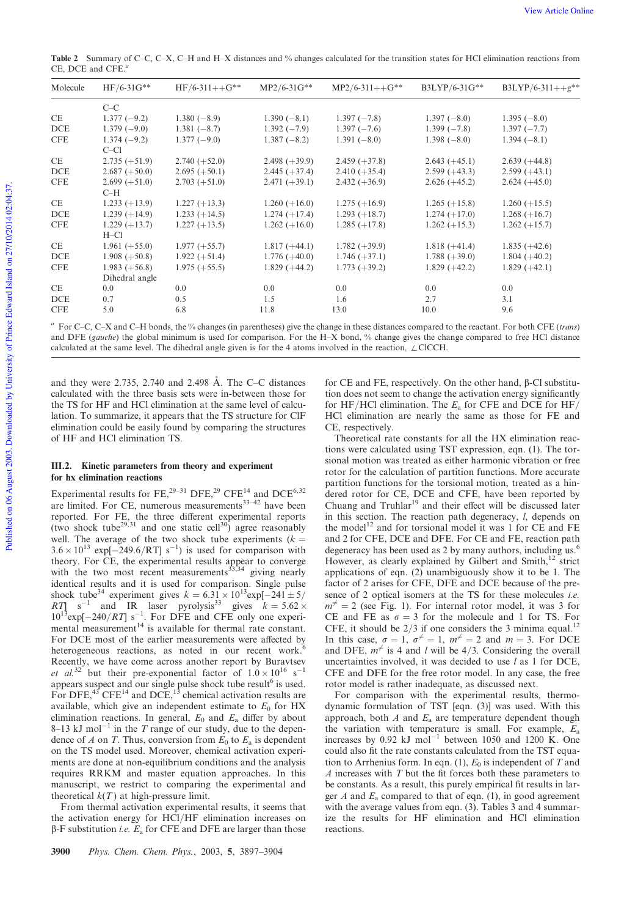Table 2 Summary of C–C, C–X, C–H and H–X distances and % changes calculated for the transition states for HCl elimination reactions from CE, DCE and CFE.*<sup>a</sup>*

| Molecule   | $HF/6-31G**$    | $HF/6-311++G**$ | $MP2/6-31G**$   | $MP2/6-311++G**$ | B3LYP/6-31G**   | $B3LYP/6-311++g**$ |
|------------|-----------------|-----------------|-----------------|------------------|-----------------|--------------------|
|            | $C-C$           |                 |                 |                  |                 |                    |
| CE         | $1.377(-9.2)$   | $1.380(-8.9)$   | $1.390(-8.1)$   | $1.397(-7.8)$    | $1.397(-8.0)$   | $1.395(-8.0)$      |
| <b>DCE</b> | $1.379(-9.0)$   | $1.381(-8.7)$   | $1.392(-7.9)$   | $1.397(-7.6)$    | $1.399(-7.8)$   | $1.397(-7.7)$      |
| <b>CFE</b> | $1.374(-9.2)$   | $1.377(-9.0)$   | $1.387(-8.2)$   | $1.391(-8.0)$    | $1.398(-8.0)$   | $1.394(-8.1)$      |
|            | $C-C1$          |                 |                 |                  |                 |                    |
| <b>CE</b>  | $2.735 (+51.9)$ | $2.740 (+52.0)$ | $2.498 (+39.9)$ | $2.459 (+37.8)$  | $2.643 (+45.1)$ | $2.639 (+44.8)$    |
| <b>DCE</b> | $2.687 (+50.0)$ | $2.695 (+50.1)$ | $2.445 (+37.4)$ | $2.410 (+35.4)$  | $2.599 (+43.3)$ | $2.599 (+43.1)$    |
| <b>CFE</b> | $2.699 (+51.0)$ | $2.703 (+51.0)$ | $2.471 (+39.1)$ | $2.432 (+36.9)$  | $2.626 (+45.2)$ | $2.624 (+45.0)$    |
|            | $C-H$           |                 |                 |                  |                 |                    |
| CE.        | $1.233 (+13.9)$ | $1.227 (+13.3)$ | $1.260 (+16.0)$ | $1.275 (+16.9)$  | $1.265 (+15.8)$ | $1.260 (+15.5)$    |
| <b>DCE</b> | $1.239 (+14.9)$ | $1.233 (+14.5)$ | $1.274 (+17.4)$ | $1.293 (+18.7)$  | $1.274 (+17.0)$ | $1.268 (+16.7)$    |
| <b>CFE</b> | $1.229 (+13.7)$ | $1.227 (+13.5)$ | $1.262 (+16.0)$ | $1.285 (+17.8)$  | $1.262 (+15.3)$ | $1.262 (+15.7)$    |
|            | $H$ –Cl         |                 |                 |                  |                 |                    |
| CE         | $1.961 (+55.0)$ | $1.977 (+55.7)$ | $1.817 (+44.1)$ | $1.782 (+39.9)$  | $1.818 (+41.4)$ | $1.835 (+42.6)$    |
| DCE        | $1.908 (+50.8)$ | $1.922 (+51.4)$ | $1.776 (+40.0)$ | $1.746 (+37.1)$  | $1.788 (+39.0)$ | $1.804 (+40.2)$    |
| <b>CFE</b> | $1.983 (+56.8)$ | $1.975 (+55.5)$ | $1.829 (+44.2)$ | $1.773 (+39.2)$  | $1.829 (+42.2)$ | $1.829 (+42.1)$    |
|            | Dihedral angle  |                 |                 |                  |                 |                    |
| CE         | 0.0             | 0.0             | 0.0             | 0.0              | 0.0             | 0.0                |
| <b>DCE</b> | 0.7             | 0.5             | 1.5             | 1.6              | 2.7             | 3.1                |
| <b>CFE</b> | 5.0             | 6.8             | 11.8            | 13.0             | 10.0            | 9.6                |

*<sup>a</sup>* For C–C, C–X and C–H bonds, the % changes (in parentheses) give the change in these distances compared to the reactant. For both CFE (*trans*) and DFE (*gauche*) the global minimum is used for comparison. For the H–X bond, % change gives the change compared to free HCl distance calculated at the same level. The dihedral angle given is for the 4 atoms involved in the reaction,  $\angle$ ClCCH.

and they were 2.735, 2.740 and 2.498 Å. The C–C distances calculated with the three basis sets were in-between those for the TS for HF and HCl elimination at the same level of calculation. To summarize, it appears that the TS structure for ClF elimination could be easily found by comparing the structures of HF and HCl elimination TS.

#### III.2. Kinetic parameters from theory and experiment for hx elimination reactions

Experimental results for FE,  $^{29-31}$  DFE,  $^{29}$  CFE<sup>14</sup> and DCE<sup>6,32</sup> are limited. For CE, numerous measurements<sup>33-42</sup> have been reported. For FE, the three different experimental reports (two shock tube<sup>29,31</sup> and one static cell<sup>30</sup>) agree reasonably well. The average of the two shock tube experiments  $(k =$  $3.6 \times 10^{13}$  exp[-249.6/RT] s<sup>-1</sup>) is used for comparison with theory. For CE, the experimental results appear to converge with the two most recent measurements $^{33,34}$  giving nearly identical results and it is used for comparison. Single pulse shock tube<sup>34</sup> experiment gives  $k = 6.31 \times 10^{13}$ exp[-241 ± 5/ *RT*]  $s^{-1}$  and IR laser pyrolysis<sup>33</sup> gives  $k = 5.62 \times$  $10^{13}$ exp[ $-240/RT$ ] s<sup>-1</sup>. For DFE and CFE only one experimental measurement $14$  is available for thermal rate constant. For DCE most of the earlier measurements were affected by heterogeneous reactions, as noted in our recent work.<sup>6</sup> Recently, we have come across another report by Buravtsev *et al.*<sup>32</sup> but their pre-exponential factor of  $1.0 \times 10^{16}$  s<sup>-1</sup> appears suspect and our single pulse shock tube result<sup>6</sup> is used. For DFE, $^{43}$  CFE<sup>14</sup> and DCE,<sup>13</sup> chemical activation results are available, which give an independent estimate to  $E_0$  for  $HX$ elimination reactions. In general,  $E_0$  and  $E_a$  differ by about  $8-13$  kJ mol<sup>-1</sup> in the *T* range of our study, due to the dependence of *A* on *T*. Thus, conversion from  $E_0$  to  $E_a$  is dependent on the TS model used. Moreover, chemical activation experiments are done at non-equilibrium conditions and the analysis requires RRKM and master equation approaches. In this manuscript, we restrict to comparing the experimental and theoretical  $k(T)$  at high-pressure limit.

From thermal activation experimental results, it seems that the activation energy for HCl/HF elimination increases on  $\beta$ -F substitution *i.e.*  $E_a$  for CFE and DFE are larger than those for CE and FE, respectively. On the other hand,  $\beta$ -Cl substitution does not seem to change the activation energy significantly for HF/HCl elimination. The  $E_a$  for CFE and DCE for HF/ HCl elimination are nearly the same as those for FE and CE, respectively.

Theoretical rate constants for all the HX elimination reactions were calculated using TST expression, eqn. (1). The torsional motion was treated as either harmonic vibration or free rotor for the calculation of partition functions. More accurate partition functions for the torsional motion, treated as a hindered rotor for CE, DCE and CFE, have been reported by Chuang and Truhlar<sup>19</sup> and their effect will be discussed later in this section. The reaction path degeneracy, *l*, depends on the model<sup>12</sup> and for torsional model it was 1 for CE and FE and 2 for CFE, DCE and DFE. For CE and FE, reaction path degeneracy has been used as 2 by many authors, including us.<sup>6</sup> However, as clearly explained by Gilbert and Smith,<sup>12</sup> strict applications of eqn. (2) unambiguously show it to be 1. The factor of 2 arises for CFE, DFE and DCE because of the presence of 2 optical isomers at the TS for these molecules *i.e.*  $m^{\neq} = 2$  (see Fig. 1). For internal rotor model, it was 3 for CE and FE as  $\sigma = 3$  for the molecule and 1 for TS. For CFE, it should be  $2/3$  if one considers the 3 minima equal.<sup>12</sup> In this case,  $\sigma = 1$ ,  $\sigma^{\neq} = 1$ ,  $m^{\neq} = 2$  and  $m = 3$ . For DCE and DFE,  $m^{\neq}$  is 4 and *l* will be 4/3. Considering the overall uncertainties involved, it was decided to use *l* as 1 for DCE, CFE and DFE for the free rotor model. In any case, the free rotor model is rather inadequate, as discussed next.

For comparison with the experimental results, thermodynamic formulation of TST [eqn. (3)] was used. With this approach, both  $A$  and  $E_a$  are temperature dependent though the variation with temperature is small. For example, *E*<sup>a</sup> increases by  $0.92 \text{ kJ mol}^{-1}$  between 1050 and 1200 K. One could also fit the rate constants calculated from the TST equation to Arrhenius form. In eqn.  $(1)$ ,  $E_0$  is independent of  $T$  and *A* increases with *T* but the fit forces both these parameters to be constants. As a result, this purely empirical fit results in larger *A* and *E*<sup>a</sup> compared to that of eqn. (1), in good agreement with the average values from eqn. (3). Tables 3 and 4 summarize the results for HF elimination and HCl elimination reactions.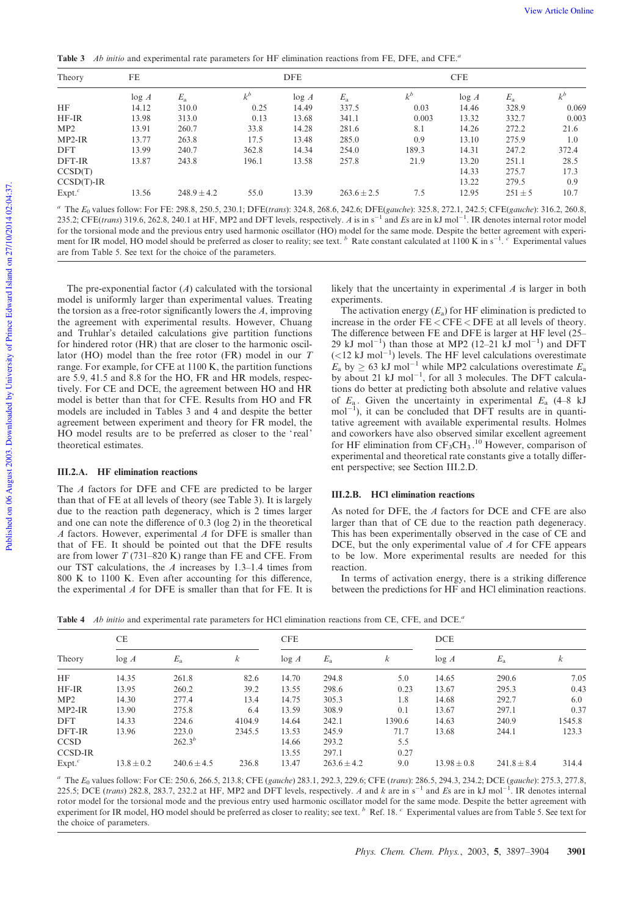Table 3 *Ab initio* and experimental rate parameters for HF elimination reactions from FE, DFE, and CFE.*<sup>a</sup>*

| Theory               | FE    |                 | <b>DFE</b> |       |                                                                                                                                                                  | <b>CFE</b> |       |             |       |
|----------------------|-------|-----------------|------------|-------|------------------------------------------------------------------------------------------------------------------------------------------------------------------|------------|-------|-------------|-------|
|                      | log A | $E_{\rm a}$     | $k^b$      | log A | $E_{\rm a}$                                                                                                                                                      | $k^b$      | log A | $E_{\rm a}$ | $k^b$ |
| <b>HF</b>            | 14.12 | 310.0           | 0.25       | 14.49 | 337.5                                                                                                                                                            | 0.03       | 14.46 | 328.9       | 0.069 |
| $HF$ -IR             | 13.98 | 313.0           | 0.13       | 13.68 | 341.1                                                                                                                                                            | 0.003      | 13.32 | 332.7       | 0.003 |
| MP2                  | 13.91 | 260.7           | 33.8       | 14.28 | 281.6                                                                                                                                                            | 8.1        | 14.26 | 272.2       | 21.6  |
| $MP2-IR$             | 13.77 | 263.8           | 17.5       | 13.48 | 285.0                                                                                                                                                            | 0.9        | 13.10 | 275.9       | 1.0   |
| <b>DFT</b>           | 13.99 | 240.7           | 362.8      | 14.34 | 254.0                                                                                                                                                            | 189.3      | 14.31 | 247.2       | 372.4 |
| DFT-IR               | 13.87 | 243.8           | 196.1      | 13.58 | 257.8                                                                                                                                                            | 21.9       | 13.20 | 251.1       | 28.5  |
| CCSD(T)              |       |                 |            |       |                                                                                                                                                                  |            | 14.33 | 275.7       | 17.3  |
| $CCSD(T)$ -IR        |       |                 |            |       |                                                                                                                                                                  |            | 13.22 | 279.5       | 0.9   |
| $Expt.$ <sup>c</sup> | 13.56 | $248.9 \pm 4.2$ | 55.0       | 13.39 | $263.6 \pm 2.5$                                                                                                                                                  | 7.5        | 12.95 | $251 \pm 5$ | 10.7  |
|                      |       |                 |            |       | <sup>a</sup> The $E_0$ values follow: For FE: 298.8, 250.5, 230.1; DFE(trans): 324.8, 268.6, 242.6; DFE(gauche): 325.8, 272.1, 242.5; CFE(gauche): 316.2, 260.8, |            |       |             |       |

235.2; CFE(*trans*) 319.6, 262.8, 240.1 at HF, MP2 and DFT levels, respectively. *A* is in  $s^{-1}$  and *Es* are in kJ mol<sup>-1</sup>. IR denotes internal rotor model for the torsional mode and the previous entry used harmonic oscillator (HO) model for the same mode. Despite the better agreement with experiment for IR model, HO model should be preferred as closer to reality; see text. <sup>b</sup> Rate constant calculated at 1100 K in s<sup>-1</sup>. <sup>c</sup> Experimental values are from Table 5. See text for the choice of the parameters.

The pre-exponential factor (*A*) calculated with the torsional model is uniformly larger than experimental values. Treating the torsion as a free-rotor significantly lowers the *A*, improving the agreement with experimental results. However, Chuang and Truhlar's detailed calculations give partition functions for hindered rotor (HR) that are closer to the harmonic oscillator (HO) model than the free rotor (FR) model in our *T* range. For example, for CFE at 1100 K, the partition functions are 5.9, 41.5 and 8.8 for the HO, FR and HR models, respectively. For CE and DCE, the agreement between HO and HR model is better than that for CFE. Results from HO and FR models are included in Tables 3 and 4 and despite the better agreement between experiment and theory for FR model, the HO model results are to be preferred as closer to the 'real' theoretical estimates.

## III.2.A. HF elimination reactions

The *A* factors for DFE and CFE are predicted to be larger than that of FE at all levels of theory (see Table 3). It is largely due to the reaction path degeneracy, which is 2 times larger and one can note the difference of 0.3 (log 2) in the theoretical *A* factors. However, experimental *A* for DFE is smaller than that of FE. It should be pointed out that the DFE results are from lower *T* (731–820 K) range than FE and CFE. From our TST calculations, the *A* increases by 1.3–1.4 times from 800 K to 1100 K. Even after accounting for this difference, the experimental *A* for DFE is smaller than that for FE. It is likely that the uncertainty in experimental *A* is larger in both experiments.

The activation energy  $(E_a)$  for HF elimination is predicted to increase in the order FE < CFE < DFE at all levels of theory. The difference between FE and DFE is larger at HF level (25– 29 kJ mol<sup>-1</sup>) than those at MP2 (12-21 kJ mol<sup>-1</sup>) and DFT  $(<$ 12 kJ mol<sup>-1</sup>) levels. The HF level calculations overestimate  $E_a$  by  $\geq 63$  kJ mol<sup>-1</sup> while MP2 calculations overestimate  $E_a$ by about 21  $kJ \text{ mol}^{-1}$ , for all 3 molecules. The DFT calculations do better at predicting both absolute and relative values of  $E_a$ . Given the uncertainty in experimental  $E_a$  (4–8 kJ)  $mol^{-1}$ ), it can be concluded that DFT results are in quantitative agreement with available experimental results. Holmes and coworkers have also observed similar excellent agreement for HF elimination from  $CF_3CH_3$ .<sup>10</sup> However, comparison of experimental and theoretical rate constants give a totally different perspective; see Section III.2.D.

#### III.2.B. HCl elimination reactions

As noted for DFE, the *A* factors for DCE and CFE are also larger than that of CE due to the reaction path degeneracy. This has been experimentally observed in the case of CE and DCE, but the only experimental value of *A* for CFE appears to be low. More experimental results are needed for this reaction.

In terms of activation energy, there is a striking difference between the predictions for HF and HCl elimination reactions.

Table 4 *Ab initio* and experimental rate parameters for HCl elimination reactions from CE, CFE, and DCE.*<sup>a</sup>*

| Theory               | <b>CE</b>      |                 |                  | <b>CFE</b> |                 |        | <b>DCE</b>      |                 |        |
|----------------------|----------------|-----------------|------------------|------------|-----------------|--------|-----------------|-----------------|--------|
|                      | log A          | $E_{\rm a}$     | $\boldsymbol{k}$ | log A      | $E_{\rm a}$     | k      | log A           | $E_{\rm a}$     | k      |
| HF                   | 14.35          | 261.8           | 82.6             | 14.70      | 294.8           | 5.0    | 14.65           | 290.6           | 7.05   |
| $HF$ -IR             | 13.95          | 260.2           | 39.2             | 13.55      | 298.6           | 0.23   | 13.67           | 295.3           | 0.43   |
| MP2                  | 14.30          | 277.4           | 13.4             | 14.75      | 305.3           | 1.8    | 14.68           | 292.7           | 6.0    |
| $MP2-IR$             | 13.90          | 275.8           | 6.4              | 13.59      | 308.9           | 0.1    | 13.67           | 297.1           | 0.37   |
| <b>DFT</b>           | 14.33          | 224.6           | 4104.9           | 14.64      | 242.1           | 1390.6 | 14.63           | 240.9           | 1545.8 |
| DFT-IR               | 13.96          | 223.0           | 2345.5           | 13.53      | 245.9           | 71.7   | 13.68           | 244.1           | 123.3  |
| <b>CCSD</b>          |                | $262.3^{b}$     |                  | 14.66      | 293.2           | 5.5    |                 |                 |        |
| <b>CCSD-IR</b>       |                |                 |                  | 13.55      | 297.1           | 0.27   |                 |                 |        |
| $Expt.$ <sup>c</sup> | $13.8 \pm 0.2$ | $240.6 \pm 4.5$ | 236.8            | 13.47      | $263.6 \pm 4.2$ | 9.0    | $13.98 \pm 0.8$ | $241.8 \pm 8.4$ | 314.4  |

*<sup>a</sup>* The *E*<sup>0</sup> values follow: For CE: 250.6, 266.5, 213.8; CFE (*gauche*) 283.1, 292.3, 229.6; CFE (*trans*): 286.5, 294.3, 234.2; DCE (*gauche*): 275.3, 277.8, 225.5; DCE (*trans*) 282.8, 283.7, 232.2 at HF, MP2 and DFT levels, respectively. A and k are in  $s^{-1}$  and Es are in kJ mol<sup>-1</sup>. IR denotes internal rotor model for the torsional mode and the previous entry used harmonic oscillator model for the same mode. Despite the better agreement with<br>experiment for IR model, HO model should be preferred as closer to reality; see the choice of parameters.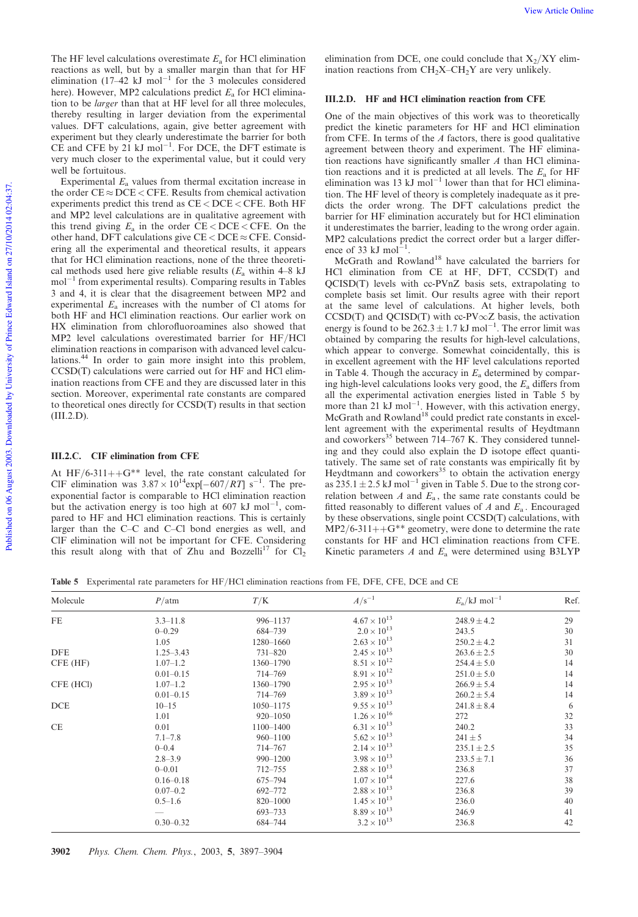The HF level calculations overestimate *E*<sup>a</sup> for HCl elimination reactions as well, but by a smaller margin than that for HF elimination  $(17-42 \text{ kJ mol}^{-1}$  for the 3 molecules considered here). However, MP2 calculations predict  $E_a$  for HCl elimination to be *larger* than that at HF level for all three molecules, thereby resulting in larger deviation from the experimental values. DFT calculations, again, give better agreement with experiment but they clearly underestimate the barrier for both  $CE$  and CFE by 21 kJ mol<sup>-1</sup>. For DCE, the DFT estimate is very much closer to the experimental value, but it could very well be fortuitous.

Experimental  $E_a$  values from thermal excitation increase in the order  $CE \approx DCE \lt CFE$ . Results from chemical activation experiments predict this trend as CE < DCE < CFE. Both HF and MP2 level calculations are in qualitative agreement with this trend giving  $E_a$  in the order  $CE < DEC \le CFE$ . On the other hand, DFT calculations give  $CE < DECE \approx CFE$ . Considering all the experimental and theoretical results, it appears that for HCl elimination reactions, none of the three theoretical methods used here give reliable results  $(E_a$  within  $4-8$  kJ  $mol^{-1}$  from experimental results). Comparing results in Tables 3 and 4, it is clear that the disagreement between MP2 and experimental *E*<sup>a</sup> increases with the number of Cl atoms for both HF and HCl elimination reactions. Our earlier work on HX elimination from chlorofluoroamines also showed that MP2 level calculations overestimated barrier for HF/HCl elimination reactions in comparison with advanced level calculations.<sup>44</sup> In order to gain more insight into this problem, CCSD(T) calculations were carried out for HF and HCl elimination reactions from CFE and they are discussed later in this section. Moreover, experimental rate constants are compared to theoretical ones directly for CCSD(T) results in that section (III.2.D).

## III.2.C. CIF elimination from CFE

At HF/6-311++ $G^{**}$  level, the rate constant calculated for CIF elimination was  $3.87 \times 10^{14}$  exp[ $-607/RT$ ] s<sup>-1</sup>. The preexponential factor is comparable to HCl elimination reaction but the activation energy is too high at 607 kJ mol<sup>-1</sup> , compared to HF and HCl elimination reactions. This is certainly larger than the C–C and C–Cl bond energies as well, and ClF elimination will not be important for CFE. Considering this result along with that of Zhu and Bozzelli<sup>17</sup> for  $Cl_2$  elimination from DCE, one could conclude that  $X_2/XY$  elimination reactions from  $CH_2X$ – $CH_2Y$  are very unlikely.

# III.2.D. HF and HCI elimination reaction from CFE

One of the main objectives of this work was to theoretically predict the kinetic parameters for HF and HCl elimination from CFE. In terms of the *A* factors, there is good qualitative agreement between theory and experiment. The HF elimination reactions have significantly smaller *A* than HCl elimination reactions and it is predicted at all levels. The *E*<sup>a</sup> for HF elimination was 13 kJ mol<sup>-1</sup> lower than that for HCl elimination. The HF level of theory is completely inadequate as it predicts the order wrong. The DFT calculations predict the barrier for HF elimination accurately but for HCl elimination it underestimates the barrier, leading to the wrong order again. MP2 calculations predict the correct order but a larger difference of 33 kJ mol $^{-1}$ .

McGrath and Rowland<sup>18</sup> have calculated the barriers for HCl elimination from CE at HF, DFT, CCSD(T) and QCISD(T) levels with cc-PVnZ basis sets, extrapolating to complete basis set limit. Our results agree with their report at the same level of calculations. At higher levels, both  $CCSD(T)$  and  $QCISD(T)$  with cc-PV $\infty$ Z basis, the activation energy is found to be  $262.3 \pm 1.7$  kJ mol<sup>-1</sup>. The error limit was obtained by comparing the results for high-level calculations, which appear to converge. Somewhat coincidentally, this is in excellent agreement with the HF level calculations reported in Table 4. Though the accuracy in *E*<sup>a</sup> determined by comparing high-level calculations looks very good, the *E*<sup>a</sup> differs from all the experimental activation energies listed in Table 5 by more than 21 kJ mol<sup>-1</sup>. However, with this activation energy, McGrath and Rowland<sup>18</sup> could predict rate constants in excellent agreement with the experimental results of Heydtmann and coworkers<sup>35</sup> between 714–767 K. They considered tunneling and they could also explain the D isotope effect quantitatively. The same set of rate constants was empirically fit by Heydtmann and coworkers<sup>35</sup> to obtain the activation energy as  $235.1 \pm 2.5$  kJ mol<sup>-1</sup> given in Table 5. Due to the strong correlation between *A* and *E*<sup>a</sup> , the same rate constants could be fitted reasonably to different values of  $A$  and  $E_a$ . Encouraged by these observations, single point CCSD(T) calculations, with  $MP2/6-311++G^{**}$  geometry, were done to determine the rate constants for HF and HCl elimination reactions from CFE. Kinetic parameters *A* and *E*<sup>a</sup> were determined using B3LYP

Table 5 Experimental rate parameters for HF/HCl elimination reactions from FE, DFE, CFE, DCE and CE

| Molecule   | $P/\text{atm}$ | T/K           | $A/s^{-1}$            | $E_a$ /kJ mol <sup>-1</sup> | Ref. |
|------------|----------------|---------------|-----------------------|-----------------------------|------|
| FE         | $3.3 - 11.8$   | 996-1137      | $4.67 \times 10^{13}$ | $248.9 \pm 4.2$             | 29   |
|            | $0 - 0.29$     | 684-739       | $2.0 \times 10^{13}$  | 243.5                       | 30   |
|            | 1.05           | 1280-1660     | $2.63 \times 10^{13}$ | $250.2 \pm 4.2$             | 31   |
| <b>DFE</b> | $1.25 - 3.43$  | $731 - 820$   | $2.45 \times 10^{13}$ | $263.6 \pm 2.5$             | 30   |
| CFE (HF)   | $1.07 - 1.2$   | 1360-1790     | $8.51 \times 10^{12}$ | $254.4 \pm 5.0$             | 14   |
|            | $0.01 - 0.15$  | 714–769       | $8.91 \times 10^{12}$ | $251.0 \pm 5.0$             | 14   |
| CFE (HCl)  | $1.07 - 1.2$   | 1360-1790     | $2.95 \times 10^{13}$ | $266.9 \pm 5.4$             | 14   |
|            | $0.01 - 0.15$  | 714–769       | $3.89 \times 10^{13}$ | $260.2 \pm 5.4$             | 14   |
| <b>DCE</b> | $10 - 15$      | $1050 - 1175$ | $9.55 \times 10^{13}$ | $241.8 \pm 8.4$             | 6    |
|            | 1.01           | $920 - 1050$  | $1.26 \times 10^{16}$ | 272                         | 32   |
| <b>CE</b>  | 0.01           | $1100 - 1400$ | $6.31 \times 10^{13}$ | 240.2                       | 33   |
|            | $7.1 - 7.8$    | $960 - 1100$  | $5.62 \times 10^{13}$ | $241 \pm 5$                 | 34   |
|            | $0 - 0.4$      | 714-767       | $2.14 \times 10^{13}$ | $235.1 + 2.5$               | 35   |
|            | $2.8 - 3.9$    | 990-1200      | $3.98 \times 10^{13}$ | $233.5 \pm 7.1$             | 36   |
|            | $0 - 0.01$     | $712 - 755$   | $2.88 \times 10^{13}$ | 236.8                       | 37   |
|            | $0.16 - 0.18$  | 675-794       | $1.07 \times 10^{14}$ | 227.6                       | 38   |
|            | $0.07 - 0.2$   | 692-772       | $2.88 \times 10^{13}$ | 236.8                       | 39   |
|            | $0.5 - 1.6$    | 820-1000      | $1.45 \times 10^{13}$ | 236.0                       | 40   |
|            |                | 693–733       | $8.89 \times 10^{13}$ | 246.9                       | 41   |
|            | $0.30 - 0.32$  | 684-744       | $3.2 \times 10^{13}$  | 236.8                       | 42   |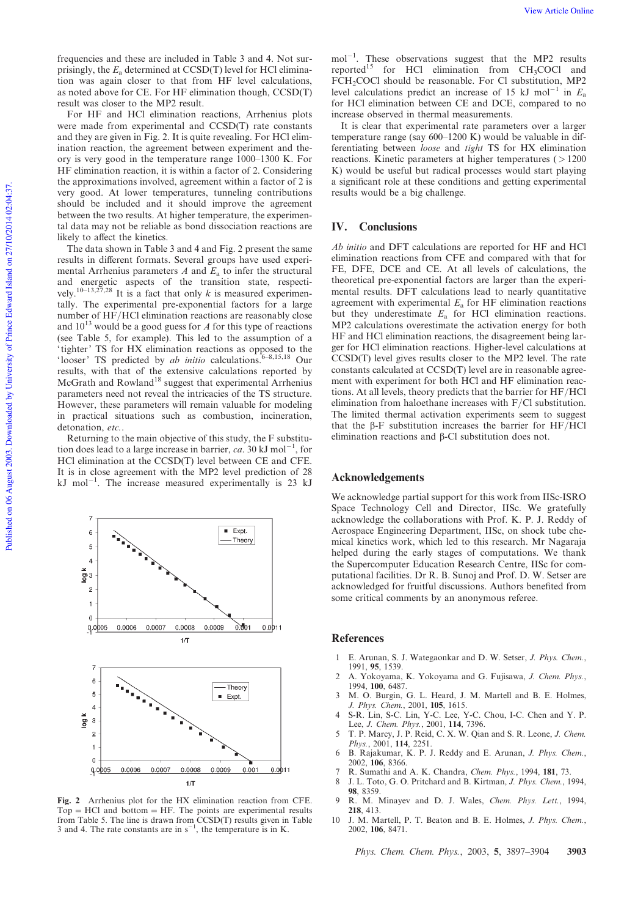For HF and HCl elimination reactions, Arrhenius plots were made from experimental and CCSD(T) rate constants and they are given in Fig. 2. It is quite revealing. For HCl elimination reaction, the agreement between experiment and theory is very good in the temperature range 1000–1300 K. For HF elimination reaction, it is within a factor of 2. Considering the approximations involved, agreement within a factor of 2 is very good. At lower temperatures, tunneling contributions should be included and it should improve the agreement between the two results. At higher temperature, the experimental data may not be reliable as bond dissociation reactions are likely to affect the kinetics.

The data shown in Table 3 and 4 and Fig. 2 present the same results in different formats. Several groups have used experimental Arrhenius parameters *A* and *E*<sup>a</sup> to infer the structural and energetic aspects of the transition state, respectively.<sup>10–13,27,28</sup> It is a fact that only *k* is measured experimentally. The experimental pre-exponential factors for a large number of HF/HCl elimination reactions are reasonably close and 10<sup>13</sup> would be a good guess for *A* for this type of reactions (see Table 5, for example). This led to the assumption of a ' tighter' TS for HX elimination reactions as opposed to the 'looser' TS predicted by *ab initio* calculations.6–8,15,18 Our results, with that of the extensive calculations reported by McGrath and Rowland<sup>18</sup> suggest that experimental Arrhenius parameters need not reveal the intricacies of the TS structure. However, these parameters will remain valuable for modeling in practical situations such as combustion, incineration, detonation, *etc.*.

Returning to the main objective of this study, the F substitution does lead to a large increase in barrier, *ca*. 30 kJ mol<sup>-1</sup>, for HCl elimination at the CCSD(T) level between CE and CFE. It is in close agreement with the MP2 level prediction of 28  $kJ$  mol<sup>-1</sup>. The increase measured experimentally is 23 kJ



Fig. 2 Arrhenius plot for the HX elimination reaction from CFE.  $Top = HCl$  and bottom  $= HF$ . The points are experimental results from Table 5. The line is drawn from CCSD(T) results given in Table 3 and 4. The rate constants are in  $s^{-1}$ , the temperature is in K.

 $mol^{-1}$ . These observations suggest that the MP2 results reported<sup>15</sup> for HCl elimination from  $CH<sub>3</sub>COCl$  and FCH<sub>2</sub>COCl should be reasonable. For Cl substitution, MP2 level calculations predict an increase of 15 kJ mol<sup>-1</sup> in  $E_a$ for HCl elimination between CE and DCE, compared to no increase observed in thermal measurements.

It is clear that experimental rate parameters over a larger temperature range (say 600–1200 K) would be valuable in differentiating between *loose* and *tight* TS for HX elimination reactions. Kinetic parameters at higher temperatures  $( > 1200$ K) would be useful but radical processes would start playing a significant role at these conditions and getting experimental results would be a big challenge.

# IV. Conclusions

*Ab initio* and DFT calculations are reported for HF and HCl elimination reactions from CFE and compared with that for FE, DFE, DCE and CE. At all levels of calculations, the theoretical pre-exponential factors are larger than the experimental results. DFT calculations lead to nearly quantitative agreement with experimental  $E_a$  for HF elimination reactions but they underestimate  $E_a$  for HCl elimination reactions. MP2 calculations overestimate the activation energy for both HF and HCl elimination reactions, the disagreement being larger for HCl elimination reactions. Higher-level calculations at CCSD(T) level gives results closer to the MP2 level. The rate constants calculated at CCSD(T) level are in reasonable agreement with experiment for both HCl and HF elimination reactions. At all levels, theory predicts that the barrier for HF/HCl elimination from haloethane increases with F/Cl substitution. The limited thermal activation experiments seem to suggest that the  $\beta$ -F substitution increases the barrier for HF/HCl elimination reactions and β-Cl substitution does not.

### Acknowledgements

We acknowledge partial support for this work from IISc-ISRO Space Technology Cell and Director, IISc. We gratefully acknowledge the collaborations with Prof. K. P. J. Reddy of Aerospace Engineering Department, IISc, on shock tube chemical kinetics work, which led to this research. Mr Nagaraja helped during the early stages of computations. We thank the Supercomputer Education Research Centre, IISc for computational facilities. Dr R. B. Sunoj and Prof. D. W. Setser are acknowledged for fruitful discussions. Authors benefited from some critical comments by an anonymous referee.

#### References

- 1 E. Arunan, S. J. Wategaonkar and D. W. Setser, *J. Phys. Chem.*, 1991, 95, 1539.
- 2 A. Yokoyama, K. Yokoyama and G. Fujisawa, *J. Chem. Phys.*, 1994, 100, 6487.
- 3 M. O. Burgin, G. L. Heard, J. M. Martell and B. E. Holmes, *J. Phys. Chem.*, 2001, 105, 1615.
- 4 S-R. Lin, S-C. Lin, Y-C. Lee, Y-C. Chou, I-C. Chen and Y. P. Lee, *J. Chem. Phys.*, 2001, 114, 7396.
- 5 T. P. Marcy, J. P. Reid, C. X. W. Qian and S. R. Leone, *J. Chem. Phys.*, 2001, 114, 2251.
- 6 B. Rajakumar, K. P. J. Reddy and E. Arunan, *J. Phys. Chem.*, 2002, 106, 8366.
- 7 R. Sumathi and A. K. Chandra, *Chem. Phys.*, 1994, 181, 73.
- 8 J. L. Toto, G. O. Pritchard and B. Kirtman, *J. Phys. Chem.*, 1994, 98, 8359.
- 9 R. M. Minayev and D. J. Wales, *Chem. Phys. Lett.*, 1994, 218, 413.
- 10 J. M. Martell, P. T. Beaton and B. E. Holmes, *J. Phys. Chem.*, 2002, 106, 8471.

*Phys. Chem. Chem. Phys.*, 2003, 5, 3897–3904 3903